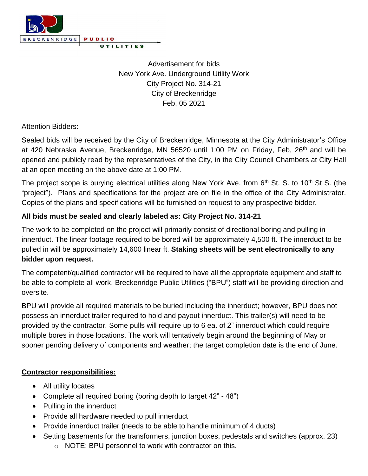

Advertisement for bids New York Ave. Underground Utility Work City Project No. 314-21 City of Breckenridge Feb, 05 2021

Attention Bidders:

Sealed bids will be received by the City of Breckenridge, Minnesota at the City Administrator's Office at 420 Nebraska Avenue, Breckenridge, MN 56520 until 1:00 PM on Friday, Feb, 26<sup>th</sup> and will be opened and publicly read by the representatives of the City, in the City Council Chambers at City Hall at an open meeting on the above date at 1:00 PM.

The project scope is burying electrical utilities along New York Ave. from 6<sup>th</sup> St. S. to 10<sup>th</sup> St S. (the "project"). Plans and specifications for the project are on file in the office of the City Administrator. Copies of the plans and specifications will be furnished on request to any prospective bidder.

## **All bids must be sealed and clearly labeled as: City Project No. 314-21**

The work to be completed on the project will primarily consist of directional boring and pulling in innerduct. The linear footage required to be bored will be approximately 4,500 ft. The innerduct to be pulled in will be approximately 14,600 linear ft. **Staking sheets will be sent electronically to any bidder upon request.**

The competent/qualified contractor will be required to have all the appropriate equipment and staff to be able to complete all work. Breckenridge Public Utilities ("BPU") staff will be providing direction and oversite.

BPU will provide all required materials to be buried including the innerduct; however, BPU does not possess an innerduct trailer required to hold and payout innerduct. This trailer(s) will need to be provided by the contractor. Some pulls will require up to 6 ea. of 2" innerduct which could require multiple bores in those locations. The work will tentatively begin around the beginning of May or sooner pending delivery of components and weather; the target completion date is the end of June.

## **Contractor responsibilities:**

- All utility locates
- Complete all required boring (boring depth to target 42" 48")
- Pulling in the innerduct
- Provide all hardware needed to pull innerduct
- Provide innerduct trailer (needs to be able to handle minimum of 4 ducts)
- Setting basements for the transformers, junction boxes, pedestals and switches (approx. 23)
	- o NOTE: BPU personnel to work with contractor on this.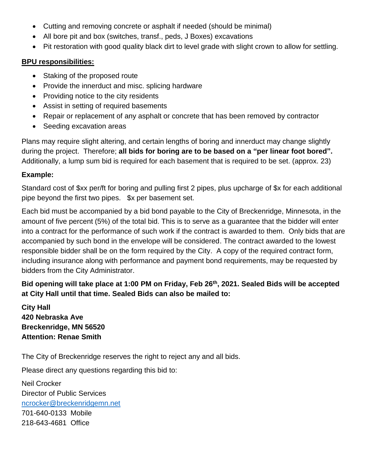- Cutting and removing concrete or asphalt if needed (should be minimal)
- All bore pit and box (switches, transf., peds, J Boxes) excavations
- Pit restoration with good quality black dirt to level grade with slight crown to allow for settling.

## **BPU responsibilities:**

- Staking of the proposed route
- Provide the innerduct and misc. splicing hardware
- Providing notice to the city residents
- Assist in setting of required basements
- Repair or replacement of any asphalt or concrete that has been removed by contractor
- Seeding excavation areas

Plans may require slight altering, and certain lengths of boring and innerduct may change slightly during the project. Therefore; **all bids for boring are to be based on a "per linear foot bored".** Additionally, a lump sum bid is required for each basement that is required to be set. (approx. 23)

## **Example:**

Standard cost of \$xx per/ft for boring and pulling first 2 pipes, plus upcharge of \$x for each additional pipe beyond the first two pipes. \$x per basement set.

Each bid must be accompanied by a bid bond payable to the City of Breckenridge, Minnesota, in the amount of five percent (5%) of the total bid. This is to serve as a guarantee that the bidder will enter into a contract for the performance of such work if the contract is awarded to them. Only bids that are accompanied by such bond in the envelope will be considered. The contract awarded to the lowest responsible bidder shall be on the form required by the City. A copy of the required contract form, including insurance along with performance and payment bond requirements, may be requested by bidders from the City Administrator.

**Bid opening will take place at 1:00 PM on Friday, Feb 26th, 2021. Sealed Bids will be accepted at City Hall until that time. Sealed Bids can also be mailed to:**

**City Hall 420 Nebraska Ave Breckenridge, MN 56520 Attention: Renae Smith**

The City of Breckenridge reserves the right to reject any and all bids.

Please direct any questions regarding this bid to:

Neil Crocker Director of Public Services [ncrocker@breckenridgemn.net](mailto:ncrocker@breckenridgemn.net) 701-640-0133 Mobile 218-643-4681 Office